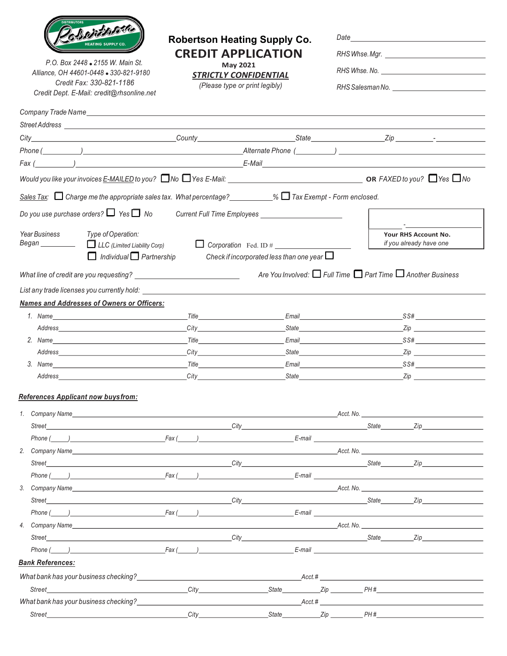

P.O. Box 2448 . 2155 W. Main St. Alliance, OH 44601-0448 . 330-821-9180 Credit Fax: 330-821-1186 Credit Dept. E-Mail: credit@rhsonline.net

## Robertson Heating Supply Co. CREDIT APPLICATION

May 2021

**STRICTLY CONFIDENTIAL** 

(Please type or print legibly)

| RHS Whse. Mgr.                   |  |
|----------------------------------|--|
|                                  |  |
| RHS Salesman No. _______________ |  |
|                                  |  |

|                         | Company Trade Name experience and the company of the company of the company of the company of the company of the company of the company of the company of the company of the company of the company of the company of the comp                                                             |                                                                                                                                                                                                                                                              |                                                                                 |            |     |                                                 |
|-------------------------|--------------------------------------------------------------------------------------------------------------------------------------------------------------------------------------------------------------------------------------------------------------------------------------------|--------------------------------------------------------------------------------------------------------------------------------------------------------------------------------------------------------------------------------------------------------------|---------------------------------------------------------------------------------|------------|-----|-------------------------------------------------|
|                         |                                                                                                                                                                                                                                                                                            |                                                                                                                                                                                                                                                              |                                                                                 |            |     |                                                 |
|                         |                                                                                                                                                                                                                                                                                            |                                                                                                                                                                                                                                                              |                                                                                 |            |     |                                                 |
|                         |                                                                                                                                                                                                                                                                                            |                                                                                                                                                                                                                                                              |                                                                                 |            |     |                                                 |
|                         |                                                                                                                                                                                                                                                                                            |                                                                                                                                                                                                                                                              |                                                                                 |            |     |                                                 |
|                         |                                                                                                                                                                                                                                                                                            |                                                                                                                                                                                                                                                              |                                                                                 |            |     |                                                 |
|                         | Sales Tax: $\Box$ Charge me the appropriate sales tax. What percentage? _________% $\Box$ Tax Exempt - Form enclosed.                                                                                                                                                                      |                                                                                                                                                                                                                                                              |                                                                                 |            |     |                                                 |
|                         | Do you use purchase orders? $\Box$ Yes $\Box$ No                                                                                                                                                                                                                                           |                                                                                                                                                                                                                                                              |                                                                                 |            |     |                                                 |
| <b>Year Business</b>    | Type of Operation:<br>$\Box$ Individual $\Box$ Partnership                                                                                                                                                                                                                                 |                                                                                                                                                                                                                                                              | $\Box$ Corporation Fed. ID #<br>Check if incorporated less than one year $\Box$ |            |     | Your RHS Account No.<br>if you already have one |
|                         |                                                                                                                                                                                                                                                                                            |                                                                                                                                                                                                                                                              | Are You Involved: $\Box$ Full Time $\Box$ Part Time $\Box$ Another Business     |            |     |                                                 |
|                         |                                                                                                                                                                                                                                                                                            |                                                                                                                                                                                                                                                              |                                                                                 |            |     |                                                 |
|                         |                                                                                                                                                                                                                                                                                            |                                                                                                                                                                                                                                                              |                                                                                 |            |     |                                                 |
|                         | Names and Addresses of Owners or Officers:                                                                                                                                                                                                                                                 |                                                                                                                                                                                                                                                              |                                                                                 |            |     |                                                 |
|                         |                                                                                                                                                                                                                                                                                            | $\_$ Title $\_$<br>City <b>Called</b> Contract <b>Contract Contract Contract Contract Contract Contract Contract Contract Contract Contract Contract Contract Contract Contract Contract Contract Contract Contract Contract Contract Contract Contract </b> |                                                                                 |            |     | Email SS#<br>State <b>Example 2</b> Zip         |
|                         | 2. Name Title Contract Contract Contract Contract Contract Contract Contract Contract Contract Contract Contract Contract Contract Contract Contract Contract Contract Contract Contract Contract Contract Contract Contract C                                                             |                                                                                                                                                                                                                                                              |                                                                                 |            |     | Email SS#                                       |
|                         |                                                                                                                                                                                                                                                                                            |                                                                                                                                                                                                                                                              |                                                                                 |            |     |                                                 |
|                         | $3.$ Name SS#                                                                                                                                                                                                                                                                              |                                                                                                                                                                                                                                                              |                                                                                 |            |     |                                                 |
|                         | Address Zip                                                                                                                                                                                                                                                                                |                                                                                                                                                                                                                                                              |                                                                                 |            |     |                                                 |
|                         | <b>References Applicant now buysfrom:</b>                                                                                                                                                                                                                                                  |                                                                                                                                                                                                                                                              |                                                                                 |            |     |                                                 |
| 1.                      |                                                                                                                                                                                                                                                                                            |                                                                                                                                                                                                                                                              |                                                                                 |            |     |                                                 |
|                         |                                                                                                                                                                                                                                                                                            |                                                                                                                                                                                                                                                              |                                                                                 |            |     |                                                 |
|                         | Phone ( ) Fax ( ) E-mail E-mail E-mail E-mail E-mail E-mail E-mail E-mail E-mail E-mail E-mail E-mail E-mail E-mail E-mail E-mail E-mail E-mail E-mail E-mail E-mail E-mail E-mail E-mail E-mail E-mail E-mail E-mail E-mail E                                                             |                                                                                                                                                                                                                                                              |                                                                                 |            |     |                                                 |
|                         |                                                                                                                                                                                                                                                                                            |                                                                                                                                                                                                                                                              |                                                                                 |            |     |                                                 |
|                         |                                                                                                                                                                                                                                                                                            |                                                                                                                                                                                                                                                              |                                                                                 |            |     |                                                 |
| Phone (                 |                                                                                                                                                                                                                                                                                            |                                                                                                                                                                                                                                                              | E-mail                                                                          |            |     |                                                 |
| 3 <sub>1</sub>          |                                                                                                                                                                                                                                                                                            |                                                                                                                                                                                                                                                              |                                                                                 |            |     |                                                 |
| Street                  | $City$ and the contract of the contract of the contract of the contract of the contract of the contract of the contract of the contract of the contract of the contract of the contract of the contract of the contract of the                                                             |                                                                                                                                                                                                                                                              |                                                                                 |            |     |                                                 |
|                         | $Phone (\_)$ $\qquad \qquad \qquad \text{Fax} (\_)$ $\qquad \qquad \text{E-mail}$                                                                                                                                                                                                          |                                                                                                                                                                                                                                                              |                                                                                 |            |     |                                                 |
|                         | 4. Company Name entertainment and the contract of the contract of the contract of the contract of the contract of the contract of the contract of the contract of the contract of the contract of the contract of the contract                                                             |                                                                                                                                                                                                                                                              |                                                                                 |            |     |                                                 |
| Street                  | er and the state of the state of the state of the state of the state of the state of the state of the state of the state of the state of the state of the state of the state of the state of the state of the state of the sta                                                             |                                                                                                                                                                                                                                                              |                                                                                 |            |     |                                                 |
| Phone (                 | $Fax$ ( ) and $\frac{1}{2}$ and $\frac{1}{2}$ and $\frac{1}{2}$ and $\frac{1}{2}$ and $\frac{1}{2}$ and $\frac{1}{2}$ and $\frac{1}{2}$ and $\frac{1}{2}$ and $\frac{1}{2}$ and $\frac{1}{2}$ and $\frac{1}{2}$ and $\frac{1}{2}$ and $\frac{1}{2}$ and $\frac{1}{2}$ and $\frac{1}{2}$ an |                                                                                                                                                                                                                                                              |                                                                                 |            |     |                                                 |
| <b>Bank References:</b> |                                                                                                                                                                                                                                                                                            |                                                                                                                                                                                                                                                              |                                                                                 |            |     |                                                 |
|                         | What bank has your business checking?<br>What bank has your business checking?                                                                                                                                                                                                             |                                                                                                                                                                                                                                                              |                                                                                 |            |     | $Acct.\#$                                       |
| Street                  |                                                                                                                                                                                                                                                                                            | City                                                                                                                                                                                                                                                         | State                                                                           | <b>Zip</b> | PH# |                                                 |

What bank has your business checking? Acct. #

Street City State Zip PH #